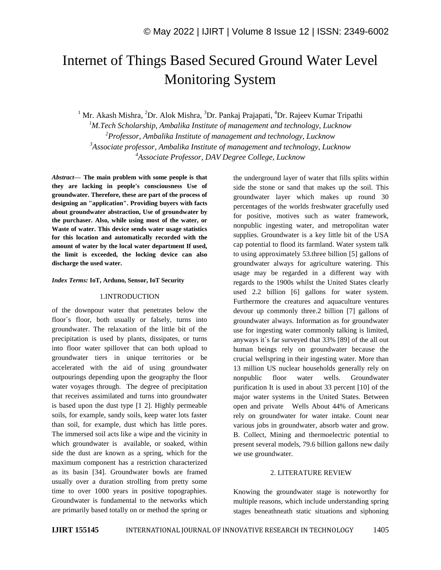# Internet of Things Based Secured Ground Water Level Monitoring System

<sup>1</sup> Mr. Akash Mishra, <sup>2</sup>Dr. Alok Mishra, <sup>3</sup>Dr. Pankaj Prajapati, <sup>4</sup>Dr. Rajeev Kumar Tripathi *M.Tech Scholarship, Ambalika Institute of management and technology, Lucknow Professor, Ambalika Institute of management and technology, Lucknow Associate professor, Ambalika Institute of management and technology, Lucknow Associate Professor, DAV Degree College, Lucknow*

*Abstract—* **The main problem with some people is that they are lacking in people's consciousness Use of groundwater. Therefore, these are part of the process of designing an "application". Providing buyers with facts about groundwater abstraction, Use of groundwater by the purchaser. Also, while using most of the water, or Waste of water. This device sends water usage statistics for this location and automatically recorded with the amount of water by the local water department If used, the limit is exceeded, the locking device can also discharge the used water.**

## *Index Terms:* **IoT, Arduno, Sensor, IoT Security**

## 1.INTRODUCTION

of the downpour water that penetrates below the floor`s floor, both usually or falsely, turns into groundwater. The relaxation of the little bit of the precipitation is used by plants, dissipates, or turns into floor water spillover that can both upload to groundwater tiers in unique territories or be accelerated with the aid of using groundwater outpourings depending upon the geography the floor water voyages through. The degree of precipitation that receives assimilated and turns into groundwater is based upon the dust type [1 2]. Highly permeable soils, for example, sandy soils, keep water lots faster than soil, for example, dust which has little pores. The immersed soil acts like a wipe and the vicinity in which groundwater is available, or soaked, within side the dust are known as a spring, which for the maximum component has a restriction characterized as its basin [34]. Groundwater bowls are framed usually over a duration strolling from pretty some time to over 1000 years in positive topographies. Groundwater is fundamental to the networks which are primarily based totally on or method the spring or the underground layer of water that fills splits within side the stone or sand that makes up the soil. This groundwater layer which makes up round 30 percentages of the worlds freshwater gracefully used for positive, motives such as water framework, nonpublic ingesting water, and metropolitan water supplies. Groundwater is a key little bit of the USA cap potential to flood its farmland. Water system talk to using approximately 53.three billion [5] gallons of groundwater always for agriculture watering. This usage may be regarded in a different way with regards to the 1900s whilst the United States clearly used 2.2 billion [6] gallons for water system. Furthermore the creatures and aquaculture ventures devour up commonly three.2 billion [7] gallons of groundwater always. Information as for groundwater use for ingesting water commonly talking is limited, anyways it`s far surveyed that 33% [89] of the all out human beings rely on groundwater because the crucial wellspring in their ingesting water. More than 13 million US nuclear households generally rely on nonpublic floor water wells. Groundwater purification It is used in about 33 percent [10] of the major water systems in the United States. Between open and private Wells About 44% of Americans rely on groundwater for water intake. Count near various jobs in groundwater, absorb water and grow. B. Collect, Mining and thermoelectric potential to present several models, 79.6 billion gallons new daily we use groundwater.

# 2. LITERATURE REVIEW

Knowing the groundwater stage is noteworthy for multiple reasons, which include understanding spring stages beneathneath static situations and siphoning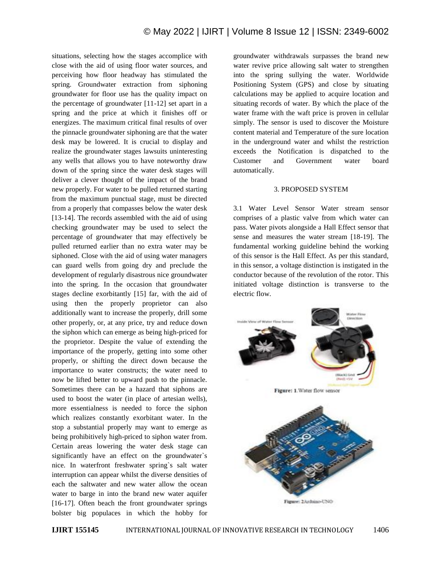situations, selecting how the stages accomplice with close with the aid of using floor water sources, and perceiving how floor headway has stimulated the spring. Groundwater extraction from siphoning groundwater for floor use has the quality impact on the percentage of groundwater [11-12] set apart in a spring and the price at which it finishes off or energizes. The maximum critical final results of over the pinnacle groundwater siphoning are that the water desk may be lowered. It is crucial to display and realize the groundwater stages lawsuits uninteresting any wells that allows you to have noteworthy draw down of the spring since the water desk stages will deliver a clever thought of the impact of the brand new properly. For water to be pulled returned starting from the maximum punctual stage, must be directed from a properly that compasses below the water desk [13-14]. The records assembled with the aid of using checking groundwater may be used to select the percentage of groundwater that may effectively be pulled returned earlier than no extra water may be siphoned. Close with the aid of using water managers can guard wells from going dry and preclude the development of regularly disastrous nice groundwater into the spring. In the occasion that groundwater stages decline exorbitantly [15] far, with the aid of using then the properly proprietor can also additionally want to increase the properly, drill some other properly, or, at any price, try and reduce down the siphon which can emerge as being high-priced for the proprietor. Despite the value of extending the importance of the properly, getting into some other properly, or shifting the direct down because the importance to water constructs; the water need to now be lifted better to upward push to the pinnacle. Sometimes there can be a hazard that siphons are used to boost the water (in place of artesian wells), more essentialness is needed to force the siphon which realizes constantly exorbitant water. In the stop a substantial properly may want to emerge as being prohibitively high-priced to siphon water from. Certain areas lowering the water desk stage can significantly have an effect on the groundwater`s nice. In waterfront freshwater spring`s salt water interruption can appear whilst the diverse densities of each the saltwater and new water allow the ocean water to barge in into the brand new water aquifer [16-17]. Often beach the front groundwater springs bolster big populaces in which the hobby for groundwater withdrawals surpasses the brand new water revive price allowing salt water to strengthen into the spring sullying the water. Worldwide Positioning System (GPS) and close by situating calculations may be applied to acquire location and situating records of water. By which the place of the water frame with the waft price is proven in cellular simply. The sensor is used to discover the Moisture content material and Temperature of the sure location in the underground water and whilst the restriction exceeds the Notification is dispatched to the Customer and Government water board automatically.

## 3. PROPOSED SYSTEM

3.1 Water Level Sensor Water stream sensor comprises of a plastic valve from which water can pass. Water pivots alongside a Hall Effect sensor that sense and measures the water stream [18-19]. The fundamental working guideline behind the working of this sensor is the Hall Effect. As per this standard, in this sensor, a voltage distinction is instigated in the conductor because of the revolution of the rotor. This initiated voltage distinction is transverse to the electric flow.



Figure: 1. Water flow sensor

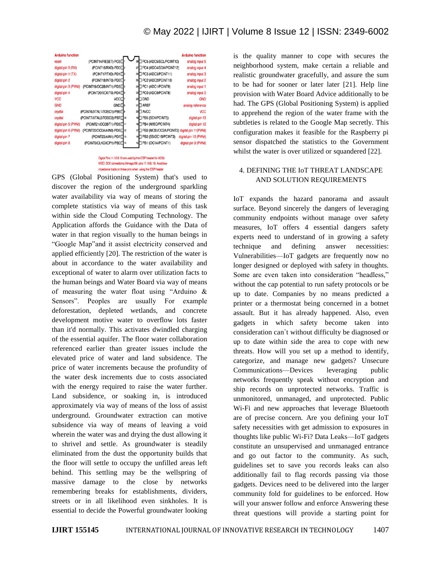| <b>Arduino function</b> |                                       |                                 | <b>Arduino function</b> |
|-------------------------|---------------------------------------|---------------------------------|-------------------------|
| reset                   | (PCINT14/RESET) PC6[                  | 28 PC5 (ADC5/SCL/PCINT13)       | analog input 5          |
| digital pin 0 (RX)      | (PCINT16/RXD) PD0□2                   | 27 PC4 (ADC4/SDA/PCINT12)       | analog input 4          |
| digital pin 1 (TX)      | (PCINT17/TXD) PD1□                    | 26 PC3 (ADC3/PCINT11)           | analog input 3          |
| digital pin 2           | (PCINT18/INT0) PD2 <sup>4</sup>       | 25 PC2 (ADC2/PCINT10)           | analog input 2          |
| digital pin 3 (PWM)     | (PCINT19/OC2B/INT1) PD3               | 24 PC1 (ADC1/PCINT9)            | analog input 1          |
| digital pin 4           | (PCINT20/XCK/T0) PD4□6                | 23 PC0 (ADC0/PCINT8)            | analog input 0          |
| <b>VCC</b>              | $VCC$ $\Box$                          | 22 GND                          | <b>GND</b>              |
| <b>GND</b>              | GND□®                                 | 21 AREF                         | analog reference        |
| crystal                 | (PCINT6/XTAL1/TOSC1) PB6 <sup>1</sup> | 20 AVCC                         | <b>VCC</b>              |
| crystal                 | (PCINT7/XTAL2/TOSC2) PB7              | 19 PB5 (SCK/PCINT5)             | digital pin 13          |
| digital pin 5 (PWM)     | (PCINT21/OC0B/T1) PD5□11              | 18 PB4 (MISO/PCINT4)            | digital pin 12          |
| digital pin 6 (PWM)     | (PCINT22/OC0A/AIN0) PD6               | 17 PB3 (MOSI/OC2A/PCINT3)       | digital pin 11(PWM)     |
| digital pin 7           | (PCINT23/AIN1) PD7 13                 | 16 PB2 (SS/OC1B/PCINT2)         | digital pin 10 (PWM)    |
| digital pin 8           | (PCINTO/CLKO/ICP1) PB0                | 15 <sup>PB1</sup> (OC1A/PCINT1) | digital pin 9 (PWM)     |

Digital Pins 11,12 & 13 are used by the ICSP header for MOSI, MISO, SCK connections (Atmaga168 pins 17,18 & 19). Avoid lowimpedance loads on these pins when using the ICSP header

GPS (Global Positioning System) that's used to discover the region of the underground sparkling water availability via way of means of storing the complete statistics via way of means of this task within side the Cloud Computing Technology. The Application affords the Guidance with the Data of water in that region visually to the human beings in "Google Map"and it assist electricity conserved and applied efficiently [20]. The restriction of the water is about in accordance to the water availability and exceptional of water to alarm over utilization facts to the human beings and Water Board via way of means of measuring the water float using "Arduino  $\&$ Sensors". Peoples are usually For example deforestation, depleted wetlands, and concrete development motive water to overflow lots faster than it'd normally. This activates dwindled charging of the essential aquifer. The floor water collaboration referenced earlier than greater issues include the elevated price of water and land subsidence. The price of water increments because the profundity of the water desk increments due to costs associated with the energy required to raise the water further. Land subsidence, or soaking in, is introduced approximately via way of means of the loss of assist underground. Groundwater extraction can motive subsidence via way of means of leaving a void wherein the water was and drying the dust allowing it to shrivel and settle. As groundwater is steadily eliminated from the dust the opportunity builds that the floor will settle to occupy the unfilled areas left behind. This settling may be the wellspring of massive damage to the close by networks remembering breaks for establishments, dividers, streets or in all likelihood even sinkholes. It is essential to decide the Powerful groundwater looking

is the quality manner to cope with secures the neighborhood system, make certain a reliable and realistic groundwater gracefully, and assure the sum to be had for sooner or later later [21]. Help line provision with Water Board Advice additionally to be had. The GPS (Global Positioning System) is applied to apprehend the region of the water frame with the subtleties is related to the Google Map secretly. This configuration makes it feasible for the Raspberry pi sensor dispatched the statistics to the Government whilst the water is over utilized or squandered [22].

# 4. DEFINING THE IoT THREAT LANDSCAPE AND SOLUTION REQUIREMENTS

IoT expands the hazard panorama and assault surface. Beyond sincerely the dangers of leveraging community endpoints without manage over safety measures, IoT offers 4 essential dangers safety experts need to understand of in growing a safety technique and defining answer necessities: Vulnerabilities—IoT gadgets are frequently now no longer designed or deployed with safety in thoughts. Some are even taken into consideration "headless," without the cap potential to run safety protocols or be up to date. Companies by no means predicted a printer or a thermostat being concerned in a botnet assault. But it has already happened. Also, even gadgets in which safety become taken into consideration can`t without difficulty be diagnosed or up to date within side the area to cope with new threats. How will you set up a method to identify, categorize, and manage new gadgets? Unsecure Communications—Devices leveraging public networks frequently speak without encryption and ship records on unprotected networks. Traffic is unmonitored, unmanaged, and unprotected. Public Wi-Fi and new approaches that leverage Bluetooth are of precise concern. Are you defining your IoT safety necessities with get admission to exposures in thoughts like public Wi-Fi? Data Leaks—IoT gadgets constitute an unsupervised and unmanaged entrance and go out factor to the community. As such, guidelines set to save you records leaks can also additionally fail to flag records passing via those gadgets. Devices need to be delivered into the larger community fold for guidelines to be enforced. How will your answer follow and enforce Answering these threat questions will provide a starting point for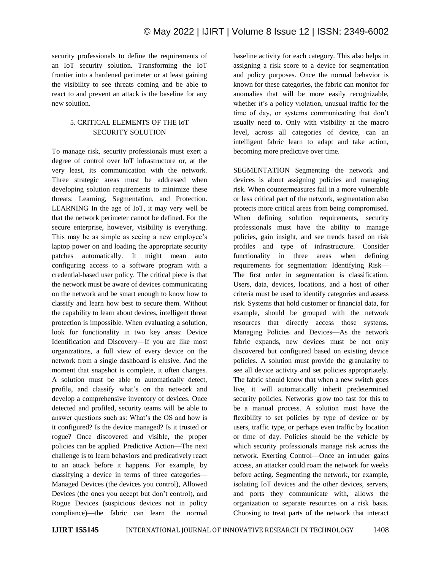security professionals to define the requirements of an IoT security solution. Transforming the IoT frontier into a hardened perimeter or at least gaining the visibility to see threats coming and be able to react to and prevent an attack is the baseline for any new solution.

# 5. CRITICAL ELEMENTS OF THE IoT SECURITY SOLUTION

To manage risk, security professionals must exert a degree of control over IoT infrastructure or, at the very least, its communication with the network. Three strategic areas must be addressed when developing solution requirements to minimize these threats: Learning, Segmentation, and Protection. LEARNING In the age of IoT, it may very well be that the network perimeter cannot be defined. For the secure enterprise, however, visibility is everything. This may be as simple as seeing a new employee's laptop power on and loading the appropriate security patches automatically. It might mean auto configuring access to a software program with a credential-based user policy. The critical piece is that the network must be aware of devices communicating on the network and be smart enough to know how to classify and learn how best to secure them. Without the capability to learn about devices, intelligent threat protection is impossible. When evaluating a solution, look for functionality in two key areas: Device Identification and Discovery—If you are like most organizations, a full view of every device on the network from a single dashboard is elusive. And the moment that snapshot is complete, it often changes. A solution must be able to automatically detect, profile, and classify what's on the network and develop a comprehensive inventory of devices. Once detected and profiled, security teams will be able to answer questions such as: What's the OS and how is it configured? Is the device managed? Is it trusted or rogue? Once discovered and visible, the proper policies can be applied. Predictive Action—The next challenge is to learn behaviors and predicatively react to an attack before it happens. For example, by classifying a device in terms of three categories— Managed Devices (the devices you control), Allowed Devices (the ones you accept but don't control), and Rogue Devices (suspicious devices not in policy compliance)—the fabric can learn the normal

baseline activity for each category. This also helps in assigning a risk score to a device for segmentation and policy purposes. Once the normal behavior is known for these categories, the fabric can monitor for anomalies that will be more easily recognizable, whether it's a policy violation, unusual traffic for the time of day, or systems communicating that don't usually need to. Only with visibility at the macro level, across all categories of device, can an intelligent fabric learn to adapt and take action, becoming more predictive over time.

SEGMENTATION Segmenting the network and devices is about assigning policies and managing risk. When countermeasures fail in a more vulnerable or less critical part of the network, segmentation also protects more critical areas from being compromised. When defining solution requirements, security professionals must have the ability to manage policies, gain insight, and see trends based on risk profiles and type of infrastructure. Consider functionality in three areas when defining requirements for segmentation: Identifying Risk— The first order in segmentation is classification. Users, data, devices, locations, and a host of other criteria must be used to identify categories and assess risk. Systems that hold customer or financial data, for example, should be grouped with the network resources that directly access those systems. Managing Policies and Devices—As the network fabric expands, new devices must be not only discovered but configured based on existing device policies. A solution must provide the granularity to see all device activity and set policies appropriately. The fabric should know that when a new switch goes live, it will automatically inherit predetermined security policies. Networks grow too fast for this to be a manual process. A solution must have the flexibility to set policies by type of device or by users, traffic type, or perhaps even traffic by location or time of day. Policies should be the vehicle by which security professionals manage risk across the network. Exerting Control—Once an intruder gains access, an attacker could roam the network for weeks before acting. Segmenting the network, for example, isolating IoT devices and the other devices, servers, and ports they communicate with, allows the organization to separate resources on a risk basis. Choosing to treat parts of the network that interact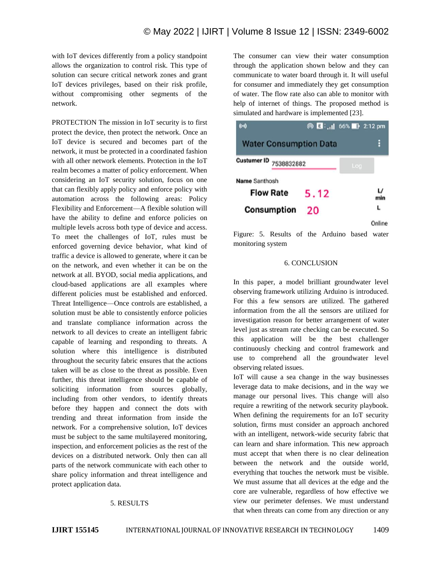with IoT devices differently from a policy standpoint allows the organization to control risk. This type of solution can secure critical network zones and grant IoT devices privileges, based on their risk profile, without compromising other segments of the network.

PROTECTION The mission in IoT security is to first protect the device, then protect the network. Once an IoT device is secured and becomes part of the network, it must be protected in a coordinated fashion with all other network elements. Protection in the IoT realm becomes a matter of policy enforcement. When considering an IoT security solution, focus on one that can flexibly apply policy and enforce policy with automation across the following areas: Policy Flexibility and Enforcement—A flexible solution will have the ability to define and enforce policies on multiple levels across both type of device and access. To meet the challenges of IoT, rules must be enforced governing device behavior, what kind of traffic a device is allowed to generate, where it can be on the network, and even whether it can be on the network at all. BYOD, social media applications, and cloud-based applications are all examples where different policies must be established and enforced. Threat Intelligence—Once controls are established, a solution must be able to consistently enforce policies and translate compliance information across the network to all devices to create an intelligent fabric capable of learning and responding to threats. A solution where this intelligence is distributed throughout the security fabric ensures that the actions taken will be as close to the threat as possible. Even further, this threat intelligence should be capable of soliciting information from sources globally, including from other vendors, to identify threats before they happen and connect the dots with trending and threat information from inside the network. For a comprehensive solution, IoT devices must be subject to the same multilayered monitoring, inspection, and enforcement policies as the rest of the devices on a distributed network. Only then can all parts of the network communicate with each other to share policy information and threat intelligence and protect application data.

# 5. RESULTS

The consumer can view their water consumption through the application shown below and they can communicate to water board through it. It will useful for consumer and immediately they get consumption of water. The flow rate also can able to monitor with help of internet of things. The proposed method is simulated and hardware is implemented [23].



Figure: 5. Results of the Arduino based water monitoring system

## 6. CONCLUSION

In this paper, a model brilliant groundwater level observing framework utilizing Arduino is introduced. For this a few sensors are utilized. The gathered information from the all the sensors are utilized for investigation reason for better arrangement of water level just as stream rate checking can be executed. So this application will be the best challenger continuously checking and control framework and use to comprehend all the groundwater level observing related issues.

IoT will cause a sea change in the way businesses leverage data to make decisions, and in the way we manage our personal lives. This change will also require a rewriting of the network security playbook. When defining the requirements for an IoT security solution, firms must consider an approach anchored with an intelligent, network-wide security fabric that can learn and share information. This new approach must accept that when there is no clear delineation between the network and the outside world, everything that touches the network must be visible. We must assume that all devices at the edge and the core are vulnerable, regardless of how effective we view our perimeter defenses. We must understand that when threats can come from any direction or any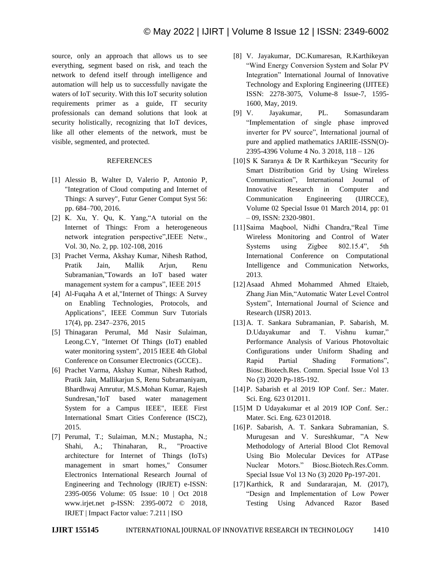source, only an approach that allows us to see everything, segment based on risk, and teach the network to defend itself through intelligence and automation will help us to successfully navigate the waters of IoT security. With this IoT security solution requirements primer as a guide, IT security professionals can demand solutions that look at security holistically, recognizing that IoT devices, like all other elements of the network, must be visible, segmented, and protected.

## REFERENCES

- [1] Alessio B, Walter D, Valerio P, Antonio P, "Integration of Cloud computing and Internet of Things: A survey", Futur Gener Comput Syst 56: pp. 684–700, 2016.
- [2] K. Xu, Y. Qu, K. Yang, "A tutorial on the Internet of Things: From a heterogeneous network integration perspective", IEEE Netw., Vol. 30, No. 2, pp. 102-108, 2016
- [3] Prachet Verma, Akshay Kumar, Nihesh Rathod, Pratik Jain, Mallik Arjun, Renu Subramanian,"Towards an IoT based water management system for a campus", IEEE 2015
- [4] Al-Fuqaha A et al,"Internet of Things: A Survey on Enabling Technologies, Protocols, and Applications", IEEE Commun Surv Tutorials 17(4), pp. 2347–2376, 2015
- [5] Thinagaran Perumal, Md Nasir Sulaiman, Leong.C.Y, "Internet Of Things (IoT) enabled water monitoring system", 2015 IEEE 4th Global Conference on Consumer Electronics (GCCE)..
- [6] Prachet Varma, Akshay Kumar, Nihesh Rathod, Pratik Jain, Mallikarjun S, Renu Subramaniyam, Bhardhwaj Amrutur, M.S.Mohan Kumar, Rajesh Sundresan,"IoT based water management System for a Campus IEEE", IEEE First International Smart Cities Conference (ISC2), 2015.
- [7] Perumal, T.; Sulaiman, M.N.; Mustapha, N.; Shahi, A.; Thinaharan, R., "Proactive architecture for Internet of Things (IoTs) management in smart homes," Consumer Electronics International Research Journal of Engineering and Technology (IRJET) e-ISSN: 2395-0056 Volume: 05 Issue: 10 | Oct 2018 www.irjet.net p-ISSN: 2395-0072 © 2018, IRJET | Impact Factor value: 7.211 | ISO
- [8] V. Jayakumar, DC.Kumaresan, R.Karthikeyan ―Wind Energy Conversion System and Solar PV Integration" International Journal of Innovative Technology and Exploring Engineering (IJITEE) ISSN: 2278-3075, Volume-8 Issue-7, 1595- 1600, May, 2019.
- [9] V. Jayakumar, PL. Somasundaram "Implementation of single phase improved inverter for PV source", International journal of pure and applied mathematics JARIIE-ISSN(O)- 2395-4396 Volume 4 No. 3 2018, 118 – 126
- [10] S K Saranya & Dr R Karthikeyan "Security for Smart Distribution Grid by Using Wireless Communication", International Journal of Innovative Research in Computer and Communication Engineering (IJIRCCE), Volume 02 Special Issue 01 March 2014, pp: 01 – 09, ISSN: 2320-9801.
- [11] Saima Maqbool, Nidhi Chandra, "Real Time Wireless Monitoring and Control of Water Systems using Zigbee 802.15.4", 5th International Conference on Computational Intelligence and Communication Networks, 2013.
- [12]Asaad Ahmed Mohammed Ahmed Eltaieb, Zhang Jian Min, "Automatic Water Level Control System", International Journal of Science and Research (IJSR) 2013.
- [13]A. T. Sankara Subramanian, P. Sabarish, M. D.Udayakumar and T. Vishnu kumar," Performance Analysis of Various Photovoltaic Configurations under Uniform Shading and Rapid Partial Shading Formations", Biosc.Biotech.Res. Comm. Special Issue Vol 13 No (3) 2020 Pp-185-192.
- [14]P. Sabarish et al 2019 IOP Conf. Ser.: Mater. Sci. Eng. 623 012011.
- [15] M D Udayakumar et al 2019 IOP Conf. Ser.: Mater. Sci. Eng. 623 012018.
- [16]P. Sabarish, A. T. Sankara Subramanian, S. Murugesan and V. Sureshkumar, "A New Methodology of Arterial Blood Clot Removal Using Bio Molecular Devices for ATPase Nuclear Motors." Biosc.Biotech.Res.Comm. Special Issue Vol 13 No (3) 2020 Pp-197-201.
- [17]Karthick, R and Sundararajan, M. (2017), ―Design and Implementation of Low Power Testing Using Advanced Razor Based